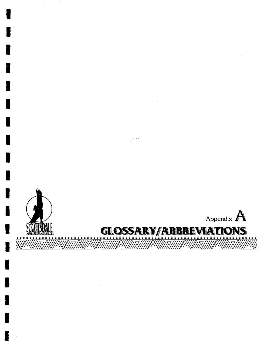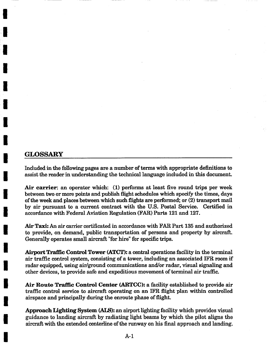## **I GLOSSARY**

**I** 

**I** 

**!** 

**I** 

**I** 

**I** 

**I** 

**I** 

**I** 

**!** 

**I** 

**i** 

**I** 

**i** 

**I** 

Included in the following pages are a number of terms with appropriate definitions to assist the reader in understanding the technical language included in this document.

Air carrier: an operator which: (1) performs at least five round trips per week between two or more points and publish flight schedules which specify the times, days of the week and places between which such flights are performed; or (2) transport mail by air pursuant to a current contract with the U.S. Postal Service. Certified in accordance with Federal Aviation Regulation (FAR) Parts 121 and 127.

Air Taxi: An air carrier certificated in accordance with FAR Part 135 and authorized to provide, on demand, public transportation of persons and property by aircraft. Generally operates small aircraft "for hire" for specific trips.

Airport Traffic Control Tower (ATCT): a central operations facility in the terminal air traffic control system, consisting of a tower, including an associated IFR room if radar equipped, using air/ground communications and/or radar, visual signaling and other devices, to provide safe and expeditious movement of terminal air traffic.

Air Route Traffic Control Center (ARTCC): a facility established to provide air traffic control service to aircraft operating on an IFR flight plan within controlled airspace and principally during the enrouto phase of flight.

Approach Lighting System (ALS): an airport lighting facility which provides visual guidance to landing aircraft by radiating light beams by which the pilot aligns the aircraft with the extended centerline of the runway on his final approach and landing.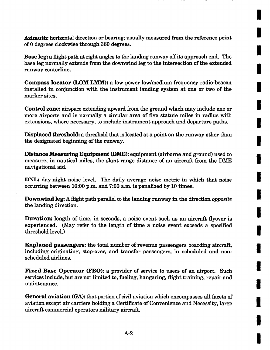Azimuth: horizontal direction or bearing; usually measured from the reference point of 0 degrees clockwise through 360 degrees.

**I** 

**I** 

**I** 

**I** 

**I** 

**I** 

**I** 

**I** 

**I** 

**I** 

**I** 

**I** 

**I** 

**I** 

**I** 

**I** 

**I** 

**I** 

**I** 

Base leg: a flight path at right angles to the landing runway **off its** approach end. The base leg normally extends from the downwind leg to the intersection of the extended runway centerline.

**Compass locator (LOM LMM): a low power low/medium frequency radio-beacon**  installed in conjunction with the instrument landing system at one or two of the marker sites.

**Control zone:** airspace extending upward from the ground which may include one or more airports and is normally a circular area of five statute miles in radius with extensions, where necessary, to include instrument approach and departure paths.

**Displaced** threshold: a threshold that is located at a point on the runway other than the designated beginning of the runway.

**Distance Measuring Equipment (DME): equipment (airborne and ground) used to**  measure, in nautical miles, the slant range distance of an aircraft from the DME navigational aid.

DNL: day-night noise level. The daily average noise metric in which that noise occurring between 10:00 p.m. and 7:00 a.m. is penalized by 10 times.

Downwind leg: A flight path parallel to the landing runway in the direction *opposite*  the landing direction.

**Duration:** length of time, in seconds, a noise event such as an aircraft flyover is experienced. (May refer to the length of time a noise event exceeds a specified threshold level.)

**Enplaned passengers:** the total number of revenue passengers boarding aircraft, including originating, stop-over, and transfer passengers, in scheduled and nonscheduled airlines.

**Fixed Base Operator (FBO):** a provider of service to users of an airport. Such services include, but are not limited to, fueling, hangaring, flight training, repair and maintenance.

General aviation (GA): that portion of civil aviation which encompasses all facets of aviation except air carriers holding a Certificate of Convenience and Necessity, large aircraft commercial operators military aircraft.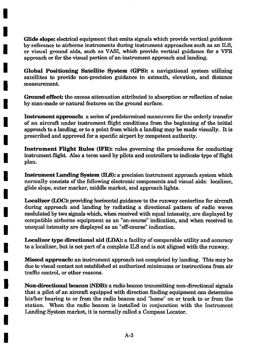Glide slope: electrical equipment that emits signals which provide vertical guidance by reference to airborne instruments during instrument approaches such as an ILS, or visual ground aids, such as VASI, which provide vertical guidance for a VFR approach or for the visual portion of an instrument approach and landing.

**I** 

**I** 

**I** 

**I** 

**I** 

**I** 

**I** 

**I** 

**I** 

**I** 

i

**I** 

**I** 

**!** 

**I** 

**I** 

**I** 

**I** 

**I** 

**Global Positioning** Satellite System (GPS): a navigational system utilizing satellites to provide non-precision guidance in azimuth, elevation, and distance measurement.

Ground effect: the excess attenuation attributed to absorption or reflection of noise by man-made or natural features on the ground surface.

Instrument approach: a series of predetermined maneuvers for the orderly transfer of an aircraft under instrument flight conditions from the beginning of the initial approach to a landing, or to a point from which a landing may be made visually. It is prescribed and approved for a specific airport by competent authority.

**Instrument Flight Rules (IFR):** rules governing the procedures for conducting instrument flight. Also a term used by pilots and controllers to indicate type of flight plan.

Instrument Landing System (ILS): a precision instrument approach system which normally consists of the following electronic components and visual aids: localizer, glide slope, outer marker, middle market, and approach lights.

Localizer (LOC): providing horizontal guidance to the runway centerline for aircraft during approach and landing by radiating a directional pattern of radio waves modulated by two signals which, when received with equal intensity, are displayed by compatible airborne equipment as an "on-course" indication, and when received in unequal intensity are displayed as an "off-course" indication.

Localizer type directional aid (LDA): a facility of comparable utility and accuracy to a localizer, but is not part of a complete ILS and is not aligned with the runway.

Missed approach: an instrument approach not completed by landing. This may be due to visual contact not established at authorized minimums or instructions from air traffic control, or other reasons.

Non-directional beacon (NDB): a radio beacon transmitting non-directional signals that a pilot of an aircraft equipped with direction finding equipment can determine his/her bearing to or from the radio beacon and "home" on or track to or from the station. When the radio beacon is installed in conjunction with the Instrument Landing System market, it is normally called a Compass Locator.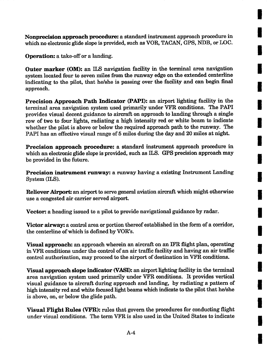**Nonprecision approach** procedure: a standard instrument approach procedure in which no electronic glide slope is provided, such as VOR, TACAN, GPS, NDB, or LOC.

**I** 

**I** 

**I** 

**I** 

**I** 

**I** 

**i** 

**I** 

**i** 

**I** 

**I** 

**I** 

**I** 

**I** 

**I** 

**I** 

**I** 

**I** 

**I** 

**Operation:** a take-off or a landing.

**Outer marker (OM):** an ILS navigation facility in the terminal area navigation system located four to seven miles from the runway edge on the extended centerfine indicating to the pilot, that he/she is passing over the facility and can begin final approach.

**Precision Approach Path** Indicator (PAPI): an airport lighting facility in the terminal area navigation system used primarily under VFR conditions. The PAPI provides visual decent guidance to aircraft on approach to landing through a single row of two to four lights, radiating a high intensity red or white beam to indicate whether the pilot is above or below the required approach path to the runway. The PAPI has an effective visual range of 5 miles during the day and 20 miles at night.

**Precision approach procedure: a standard instrument approach procedure in**  which an electronic glide slope is provided, such as ILS. GPS precision approach may be provided in the future.

**Precision instrument runway: a runway having a existing Instrument Landing**  System (ILS).

Reliever Airport: an airport to serve general aviation aircraft which might otherwise use a congested air carrier served airport.

Vector: a heading issued to a pilot to provide navigational guidance by radar.

Victor airway: a control area or portion thereof established in the form of a corridor, the centerline of which is defined by VOR's.

Visual approach: an approach wherein an aircraft on an IFR flight plan, operating in VFR conditions under the control of an air traffic facility and having an air traffic control authorization, may proceed to the airport of destination in VFR conditions.

Visual approach slope indicator (VASI): an airport fighting facility in the terminal area navigation system used primarily under VFR conditions. It provides vertical visual guidance to aircraft during approach and landing, by radiating a pattern of high intensity red and white focused fight beams which indicate to the pilot that he/she is above, on, or below the glide path.

**Visual Flight Rules (VFR): rules that govern the procedures for conducting flight**  under visual conditions. The term VFR is also used in the United States to indicate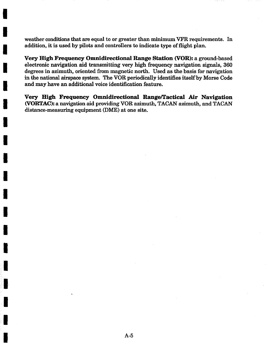weather conditions that are equal to or greater than minimum VFR requirements. In addition, it is used by pilots and controllers to indicate type of flight plan.

I

I

I

I

I

i

I

I

I

i

i

I

i

I

I

i i

i

Very High Frequency Omnidirectional Range Station (VOR): a ground-based electronic navigation aid transmitting very high frequency navigation signals, 360 degrees in azimuth, oriented from magnetic north. Used as the basis for navigation in the national airspace system. The VOR periodically identifies itself by Morse Code and may have an additional voice identification feature.

Very High Frequency Omnidirectional Range/Tactical Air Navigation (VORTAC): a navigation aid providing VOR azimuth, TACAN azimuth, and TACAN distance-measuring equipment (DME) at one site.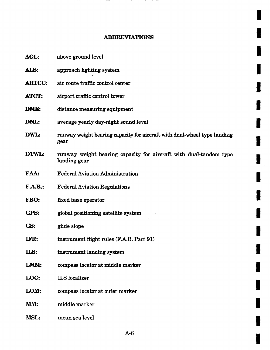## ABBREVIATIONS

**I** 

 $\cdot$ 

**I** 

**I** 

**I** 

**I** 

**I** 

**I** 

**I** 

**I** 

**I** 

**I** 

**I** 

**I** 

I

**I** 

**I** 

**I** 

**!** 

**I** 

| AGL:           | above ground level                                                                |
|----------------|-----------------------------------------------------------------------------------|
| ALS:           | approach lighting system                                                          |
| <b>ARTCC:</b>  | air route traffic control center                                                  |
| <b>ATCT:</b>   | airport traffic control tower                                                     |
| DME:           | distance measuring equipment                                                      |
| DNL:           | average yearly day-night sound level                                              |
| DWL:           | runway weight bearing capacity for aircraft with dual-wheel type landing<br>gear  |
| DTWL:          | runway weight bearing capacity for aircraft with dual-tandem type<br>landing gear |
| <b>FAA:</b>    | <b>Federal Aviation Administration</b>                                            |
| <b>F.A.R.:</b> | <b>Federal Aviation Regulations</b>                                               |
| FBO:           | fixed base operator                                                               |
| GPS:           | global positioning satellite system                                               |
| GS:            | glide slope                                                                       |
| IFR:           | instrument flight rules (F.A.R. Part 91)                                          |
| ILS:           | instrument landing system                                                         |
| LMM:           | compass locator at middle marker                                                  |
| LOC:           | <b>ILS</b> localizer                                                              |
| LOM:           | compass locator at outer marker                                                   |
| MM:            | middle marker                                                                     |
| <b>MSL:</b>    | mean sea level                                                                    |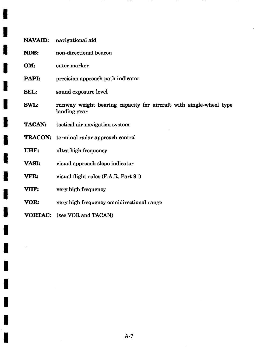| <b>NAVAID:</b> | navigational aid                                                                   |
|----------------|------------------------------------------------------------------------------------|
| NDB:           | non-directional beacon                                                             |
| OM:            | outer marker                                                                       |
| PAPI:          | precision approach path indicator                                                  |
| SEL:           | sound exposure level                                                               |
| <b>SWL:</b>    | runway weight bearing capacity for aircraft with single-wheel type<br>landing gear |
| <b>TACAN:</b>  | tactical air navigation system                                                     |
|                | <b>TRACON:</b> terminal radar approach control                                     |
| UHF:           | ultra high frequency                                                               |
| <b>VASI:</b>   | visual approach slope indicator                                                    |
| VFR:           | visual flight rules (F.A.R. Part 91)                                               |
| VHF:           | very high frequency                                                                |
| VOR:           | very high frequency omnidirectional range                                          |
| <b>VORTAC:</b> | (see VOR and TACAN)                                                                |